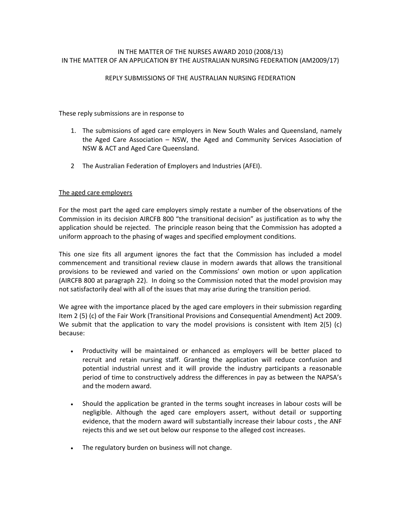## IN THE MATTER OF THE NURSES AWARD 2010 (2008/13) IN THE MATTER OF AN APPLICATION BY THE AUSTRALIAN NURSING FEDERATION (AM2009/17)

#### REPLY SUBMISSIONS OF THE AUSTRALIAN NURSING FEDERATION

These reply submissions are in response to

- 1. The submissions of aged care employers in New South Wales and Queensland, namely the Aged Care Association – NSW, the Aged and Community Services Association of NSW & ACT and Aged Care Queensland.
- 2 The Australian Federation of Employers and Industries (AFEI).

## The aged care employers

For the most part the aged care employers simply restate a number of the observations of the Commission in its decision AIRCFB 800 "the transitional decision" as justification as to why the application should be rejected. The principle reason being that the Commission has adopted a uniform approach to the phasing of wages and specified employment conditions.

This one size fits all argument ignores the fact that the Commission has included a model commencement and transitional review clause in modern awards that allows the transitional provisions to be reviewed and varied on the Commissions' own motion or upon application (AIRCFB 800 at paragraph 22). In doing so the Commission noted that the model provision may not satisfactorily deal with all of the issues that may arise during the transition period.

We agree with the importance placed by the aged care employers in their submission regarding Item 2 (5) (c) of the Fair Work (Transitional Provisions and Consequential Amendment) Act 2009. We submit that the application to vary the model provisions is consistent with Item 2(5) (c) because:

- Productivity will be maintained or enhanced as employers will be better placed to recruit and retain nursing staff. Granting the application will reduce confusion and potential industrial unrest and it will provide the industry participants a reasonable period of time to constructively address the differences in pay as between the NAPSA's and the modern award.
- Should the application be granted in the terms sought increases in labour costs will be negligible. Although the aged care employers assert, without detail or supporting evidence, that the modern award will substantially increase their labour costs , the ANF rejects this and we set out below our response to the alleged cost increases.
- The regulatory burden on business will not change.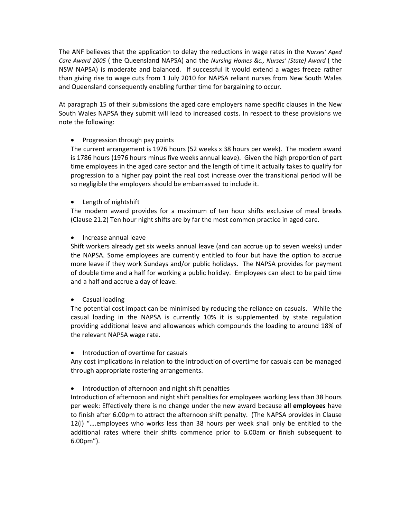The ANF believes that the application to delay the reductions in wage rates in the *Nurses' Aged Care Award 2005* ( the Queensland NAPSA) and the *Nursing Homes &c., Nurses' (State) Award* ( the NSW NAPSA) is moderate and balanced. If successful it would extend a wages freeze rather than giving rise to wage cuts from 1 July 2010 for NAPSA reliant nurses from New South Wales and Queensland consequently enabling further time for bargaining to occur.

At paragraph 15 of their submissions the aged care employers name specific clauses in the New South Wales NAPSA they submit will lead to increased costs. In respect to these provisions we note the following:

# • Progression through pay points

The current arrangement is 1976 hours (52 weeks x 38 hours per week). The modern award is 1786 hours (1976 hours minus five weeks annual leave). Given the high proportion of part time employees in the aged care sector and the length of time it actually takes to qualify for progression to a higher pay point the real cost increase over the transitional period will be so negligible the employers should be embarrassed to include it.

# • Length of nightshift

The modern award provides for a maximum of ten hour shifts exclusive of meal breaks (Clause 21.2) Ten hour night shifts are by far the most common practice in aged care.

# • Increase annual leave

Shift workers already get six weeks annual leave (and can accrue up to seven weeks) under the NAPSA. Some employees are currently entitled to four but have the option to accrue more leave if they work Sundays and/or public holidays. The NAPSA provides for payment of double time and a half for working a public holiday. Employees can elect to be paid time and a half and accrue a day of leave.

## Casual loading

The potential cost impact can be minimised by reducing the reliance on casuals. While the casual loading in the NAPSA is currently 10% it is supplemented by state regulation providing additional leave and allowances which compounds the loading to around 18% of the relevant NAPSA wage rate.

## Introduction of overtime for casuals

Any cost implications in relation to the introduction of overtime for casuals can be managed through appropriate rostering arrangements.

## • Introduction of afternoon and night shift penalties

Introduction of afternoon and night shift penalties for employees working less than 38 hours per week: Effectively there is no change under the new award because **all employees** have to finish after 6.00pm to attract the afternoon shift penalty. (The NAPSA provides in Clause 12(i) "….employees who works less than 38 hours per week shall only be entitled to the additional rates where their shifts commence prior to 6.00am or finish subsequent to 6.00pm").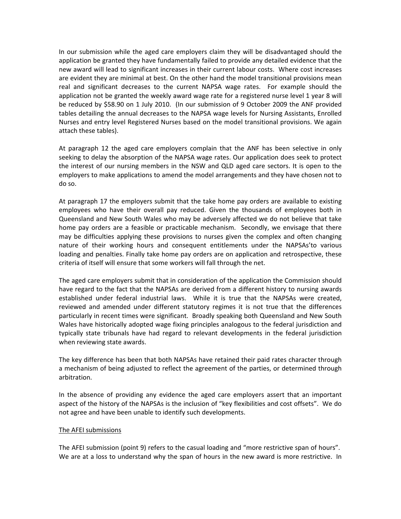In our submission while the aged care employers claim they will be disadvantaged should the application be granted they have fundamentally failed to provide any detailed evidence that the new award will lead to significant increases in their current labour costs. Where cost increases are evident they are minimal at best. On the other hand the model transitional provisions mean real and significant decreases to the current NAPSA wage rates. For example should the application not be granted the weekly award wage rate for a registered nurse level 1 year 8 will be reduced by \$58.90 on 1 July 2010. (In our submission of 9 October 2009 the ANF provided tables detailing the annual decreases to the NAPSA wage levels for Nursing Assistants, Enrolled Nurses and entry level Registered Nurses based on the model transitional provisions. We again attach these tables).

At paragraph 12 the aged care employers complain that the ANF has been selective in only seeking to delay the absorption of the NAPSA wage rates. Our application does seek to protect the interest of our nursing members in the NSW and QLD aged care sectors. It is open to the employers to make applications to amend the model arrangements and they have chosen not to do so.

At paragraph 17 the employers submit that the take home pay orders are available to existing employees who have their overall pay reduced. Given the thousands of employees both in Queensland and New South Wales who may be adversely affected we do not believe that take home pay orders are a feasible or practicable mechanism. Secondly, we envisage that there may be difficulties applying these provisions to nurses given the complex and often changing nature of their working hours and consequent entitlements under the NAPSAs'to various loading and penalties. Finally take home pay orders are on application and retrospective, these criteria of itself will ensure that some workers will fall through the net.

The aged care employers submit that in consideration of the application the Commission should have regard to the fact that the NAPSAs are derived from a different history to nursing awards established under federal industrial laws. While it is true that the NAPSAs were created, reviewed and amended under different statutory regimes it is not true that the differences particularly in recent times were significant. Broadly speaking both Queensland and New South Wales have historically adopted wage fixing principles analogous to the federal jurisdiction and typically state tribunals have had regard to relevant developments in the federal jurisdiction when reviewing state awards.

The key difference has been that both NAPSAs have retained their paid rates character through a mechanism of being adjusted to reflect the agreement of the parties, or determined through arbitration.

In the absence of providing any evidence the aged care employers assert that an important aspect of the history of the NAPSAs is the inclusion of "key flexibilities and cost offsets". We do not agree and have been unable to identify such developments.

#### The AFEI submissions

The AFEI submission (point 9) refers to the casual loading and "more restrictive span of hours". We are at a loss to understand why the span of hours in the new award is more restrictive. In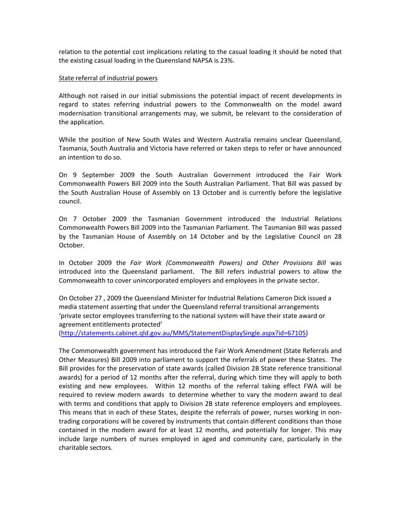relation to the potential cost implications relating to the casual loading it should be noted that the existing casual loading in the Queensland NAPSA is 23%.

#### State referral of industrial powers

Although not raised in our initial submissions the potential impact of recent developments in regard to states referring industrial powers to the Commonwealth on the model award modernisation transitional arrangements may, we submit, be relevant to the consideration of the application.

While the position of New South Wales and Western Australia remains unclear Queensland, Tasmania, South Australia and Victoria have referred or taken steps to refer or have announced an intention to do so.

On 9 September 2009 the South Australian Government introduced the Fair Work Commonwealth Powers Bill 2009 into the South Australian Parliament. That Bill was passed by the South Australian House of Assembly on 13 October and is currently before the legislative council.

On 7 October 2009 the Tasmanian Government introduced the Industrial Relations Commonwealth Powers Bill 2009 into the Tasmanian Parliament. The Tasmanian Bill was passed by the Tasmanian House of Assembly on 14 October and by the Legislative Council on 28 October.

In October 2009 the *Fair Work (Commonwealth Powers) and Other Provisions Bill* was introduced into the Queensland parliament. The Bill refers industrial powers to allow the Commonwealth to cover unincorporated employers and employees in the private sector.

On October 27 , 2009 the Queensland Minister for Industrial Relations Cameron Dick issued a media statement asserting that under the Queensland referral transitional arrangements 'private sector employees transferring to the national system will have their state award or agreement entitlements protected'

(http://statements.cabinet.qld.gov.au/MMS/StatementDisplaySingle.aspx?id=67105)

The Commonwealth government has introduced the Fair Work Amendment (State Referrals and Other Measures) Bill 2009 into parliament to support the referrals of power these States. The Bill provides for the preservation of state awards (called Division 2B State reference transitional awards) for a period of 12 months after the referral, during which time they will apply to both existing and new employees. Within 12 months of the referral taking effect FWA will be required to review modern awards to determine whether to vary the modern award to deal with terms and conditions that apply to Division 2B state reference employers and employees. This means that in each of these States, despite the referrals of power, nurses working in non‐ trading corporations will be covered by instruments that contain different conditions than those contained in the modern award for at least 12 months, and potentially for longer. This may include large numbers of nurses employed in aged and community care, particularly in the charitable sectors.